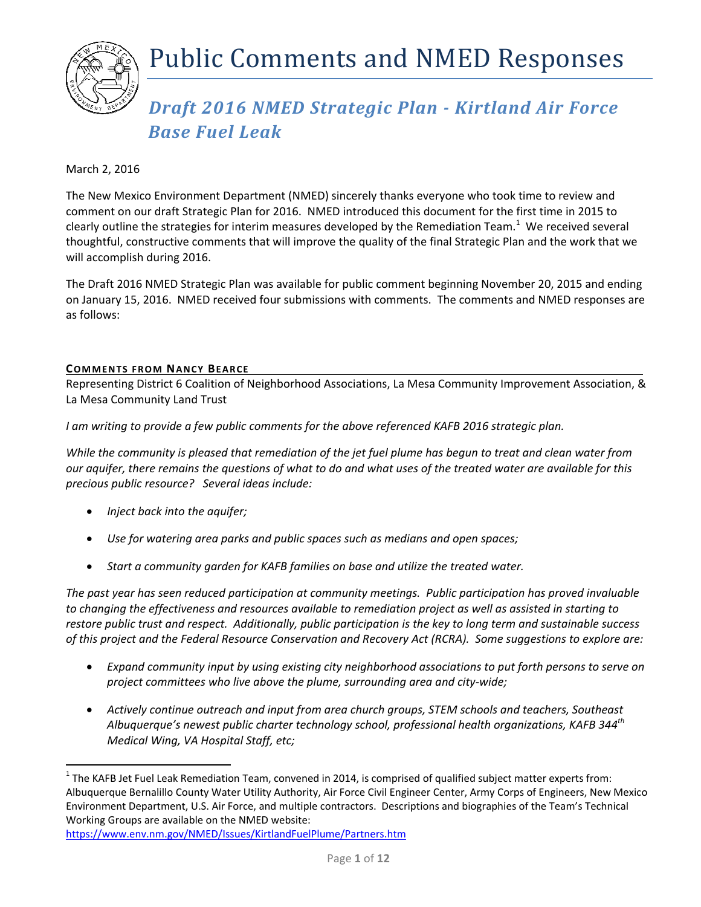

# *Draft 2016 NMED Strategic Plan ‐ Kirtland Air Force Base Fuel Leak*

March 2, 2016

The New Mexico Environment Department (NMED) sincerely thanks everyone who took time to review and comment on our draft Strategic Plan for 2016. NMED introduced this document for the first time in 2015 to clearly outline the strategies for interim measures developed by the Remediation Team.<sup>1</sup> We received several thoughtful, constructive comments that will improve the quality of the final Strategic Plan and the work that we will accomplish during 2016.

The Draft 2016 NMED Strategic Plan was available for public comment beginning November 20, 2015 and ending on January 15, 2016. NMED received four submissions with comments. The comments and NMED responses are as follows:

# **COMMENTS FROM NANCY BEARCE**

Representing District 6 Coalition of Neighborhood Associations, La Mesa Community Improvement Association, & La Mesa Community Land Trust

*I am writing to provide a few public comments for the above referenced KAFB 2016 strategic plan.* 

While the community is pleased that remediation of the jet fuel plume has begun to treat and clean water from our aquifer, there remains the questions of what to do and what uses of the treated water are available for this *precious public resource? Several ideas include:* 

*Inject back into the aquifer;*

- *Use for watering area parks and public spaces such as medians and open spaces;*
- *Start a community garden for KAFB families on base and utilize the treated water.*

*The past year has seen reduced participation at community meetings. Public participation has proved invaluable* to changing the effectiveness and resources available to remediation project as well as assisted in starting to restore public trust and respect. Additionally, public participation is the key to long term and sustainable success of this project and the Federal Resource Conservation and Recovery Act (RCRA). Some suggestions to explore are:

- *Expand community input by using existing city neighborhood associations to put forth persons to serve on project committees who live above the plume, surrounding area and city‐wide;*
- *Actively continue outreach and input from area church groups, STEM schools and teachers, Southeast Albuquerque's newest public charter technology school, professional health organizations, KAFB 344th Medical Wing, VA Hospital Staff, etc;*

 $1$  The KAFB Jet Fuel Leak Remediation Team, convened in 2014, is comprised of qualified subject matter experts from: Albuquerque Bernalillo County Water Utility Authority, Air Force Civil Engineer Center, Army Corps of Engineers, New Mexico Environment Department, U.S. Air Force, and multiple contractors. Descriptions and biographies of the Team's Technical Working Groups are available on the NMED website:

https://www.env.nm.gov/NMED/Issues/KirtlandFuelPlume/Partners.htm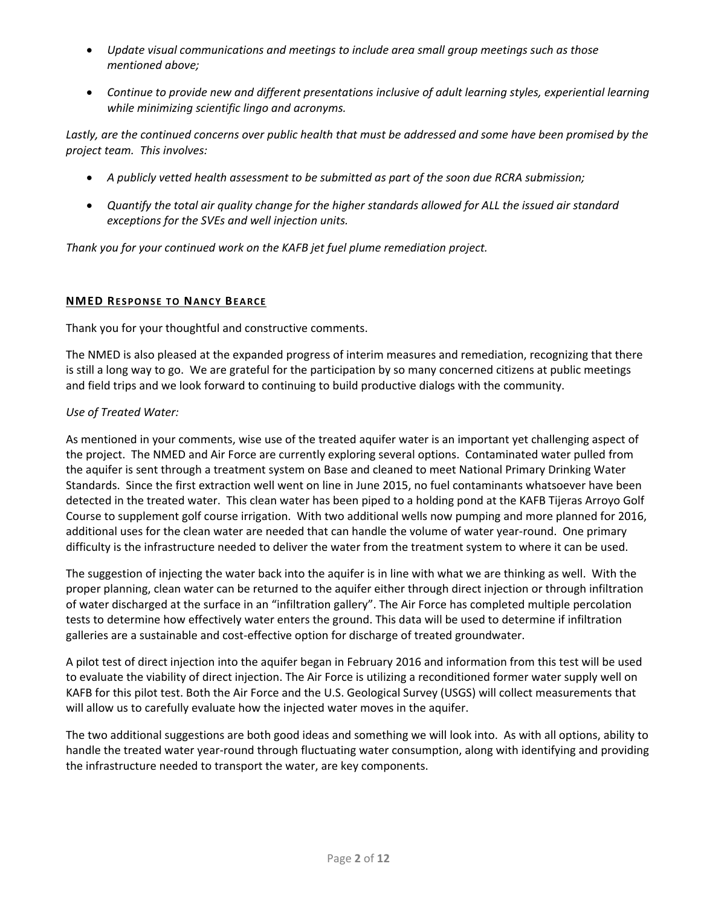- *Update visual communications and meetings to include area small group meetings such as those mentioned above;*
- *Continue to provide new and different presentations inclusive of adult learning styles, experiential learning while minimizing scientific lingo and acronyms.*

Lastly, are the continued concerns over public health that must be addressed and some have been promised by the *project team. This involves:* 

- *A publicly vetted health assessment to be submitted as part of the soon due RCRA submission;*
- *Quantify the total air quality change for the higher standards allowed for ALL the issued air standard exceptions for the SVEs and well injection units.*

*Thank you for your continued work on the KAFB jet fuel plume remediation project.* 

# **NMED RESPONSE TO NANCY BEARCE**

Thank you for your thoughtful and constructive comments.

The NMED is also pleased at the expanded progress of interim measures and remediation, recognizing that there is still a long way to go. We are grateful for the participation by so many concerned citizens at public meetings and field trips and we look forward to continuing to build productive dialogs with the community.

# *Use of Treated Water:*

As mentioned in your comments, wise use of the treated aquifer water is an important yet challenging aspect of the project. The NMED and Air Force are currently exploring several options. Contaminated water pulled from the aquifer is sent through a treatment system on Base and cleaned to meet National Primary Drinking Water Standards. Since the first extraction well went on line in June 2015, no fuel contaminants whatsoever have been detected in the treated water. This clean water has been piped to a holding pond at the KAFB Tijeras Arroyo Golf Course to supplement golf course irrigation. With two additional wells now pumping and more planned for 2016, additional uses for the clean water are needed that can handle the volume of water year‐round. One primary difficulty is the infrastructure needed to deliver the water from the treatment system to where it can be used.

The suggestion of injecting the water back into the aquifer is in line with what we are thinking as well. With the proper planning, clean water can be returned to the aquifer either through direct injection or through infiltration of water discharged at the surface in an "infiltration gallery". The Air Force has completed multiple percolation tests to determine how effectively water enters the ground. This data will be used to determine if infiltration galleries are a sustainable and cost‐effective option for discharge of treated groundwater.

A pilot test of direct injection into the aquifer began in February 2016 and information from this test will be used to evaluate the viability of direct injection. The Air Force is utilizing a reconditioned former water supply well on KAFB for this pilot test. Both the Air Force and the U.S. Geological Survey (USGS) will collect measurements that will allow us to carefully evaluate how the injected water moves in the aquifer.

The two additional suggestions are both good ideas and something we will look into. As with all options, ability to handle the treated water year-round through fluctuating water consumption, along with identifying and providing the infrastructure needed to transport the water, are key components.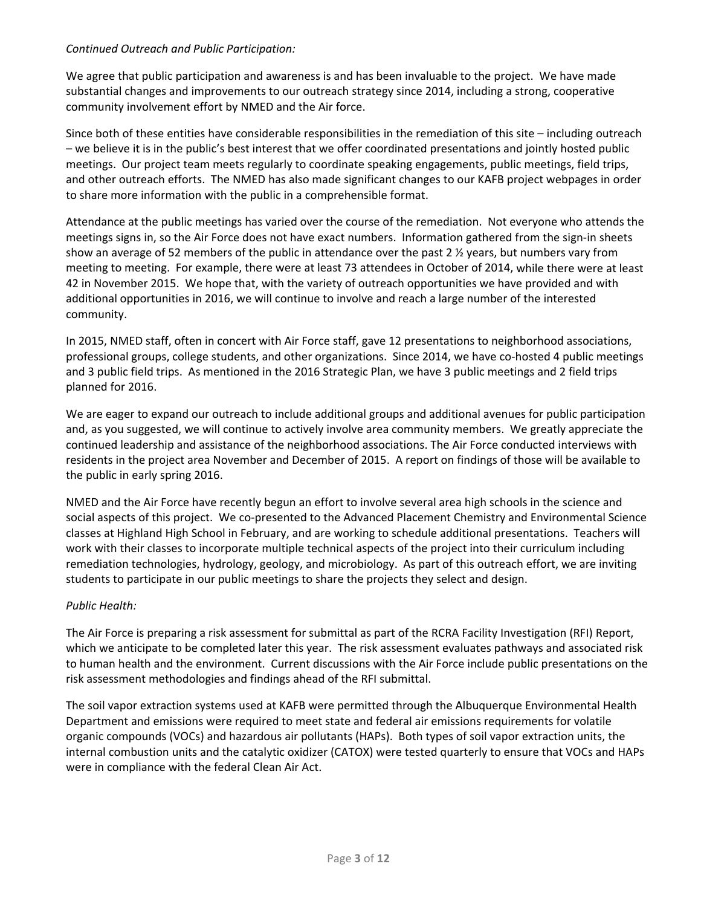# *Continued Outreach and Public Participation:*

We agree that public participation and awareness is and has been invaluable to the project. We have made substantial changes and improvements to our outreach strategy since 2014, including a strong, cooperative community involvement effort by NMED and the Air force.

Since both of these entities have considerable responsibilities in the remediation of this site – including outreach – we believe it is in the public's best interest that we offer coordinated presentations and jointly hosted public meetings. Our project team meets regularly to coordinate speaking engagements, public meetings, field trips, and other outreach efforts. The NMED has also made significant changes to our KAFB project webpages in order to share more information with the public in a comprehensible format.

Attendance at the public meetings has varied over the course of the remediation. Not everyone who attends the meetings signs in, so the Air Force does not have exact numbers. Information gathered from the sign-in sheets show an average of 52 members of the public in attendance over the past 2  $\frac{1}{2}$  years, but numbers vary from meeting to meeting. For example, there were at least 73 attendees in October of 2014, while there were at least 42 in November 2015. We hope that, with the variety of outreach opportunities we have provided and with additional opportunities in 2016, we will continue to involve and reach a large number of the interested community.

In 2015, NMED staff, often in concert with Air Force staff, gave 12 presentations to neighborhood associations, professional groups, college students, and other organizations. Since 2014, we have co‐hosted 4 public meetings and 3 public field trips. As mentioned in the 2016 Strategic Plan, we have 3 public meetings and 2 field trips planned for 2016.

We are eager to expand our outreach to include additional groups and additional avenues for public participation and, as you suggested, we will continue to actively involve area community members. We greatly appreciate the continued leadership and assistance of the neighborhood associations. The Air Force conducted interviews with residents in the project area November and December of 2015. A report on findings of those will be available to the public in early spring 2016.

NMED and the Air Force have recently begun an effort to involve several area high schools in the science and social aspects of this project. We co-presented to the Advanced Placement Chemistry and Environmental Science classes at Highland High School in February, and are working to schedule additional presentations. Teachers will work with their classes to incorporate multiple technical aspects of the project into their curriculum including remediation technologies, hydrology, geology, and microbiology. As part of this outreach effort, we are inviting students to participate in our public meetings to share the projects they select and design.

# *Public Health:*

The Air Force is preparing a risk assessment for submittal as part of the RCRA Facility Investigation (RFI) Report, which we anticipate to be completed later this year. The risk assessment evaluates pathways and associated risk to human health and the environment. Current discussions with the Air Force include public presentations on the risk assessment methodologies and findings ahead of the RFI submittal.

The soil vapor extraction systems used at KAFB were permitted through the Albuquerque Environmental Health Department and emissions were required to meet state and federal air emissions requirements for volatile organic compounds (VOCs) and hazardous air pollutants (HAPs). Both types of soil vapor extraction units, the internal combustion units and the catalytic oxidizer (CATOX) were tested quarterly to ensure that VOCs and HAPs were in compliance with the federal Clean Air Act.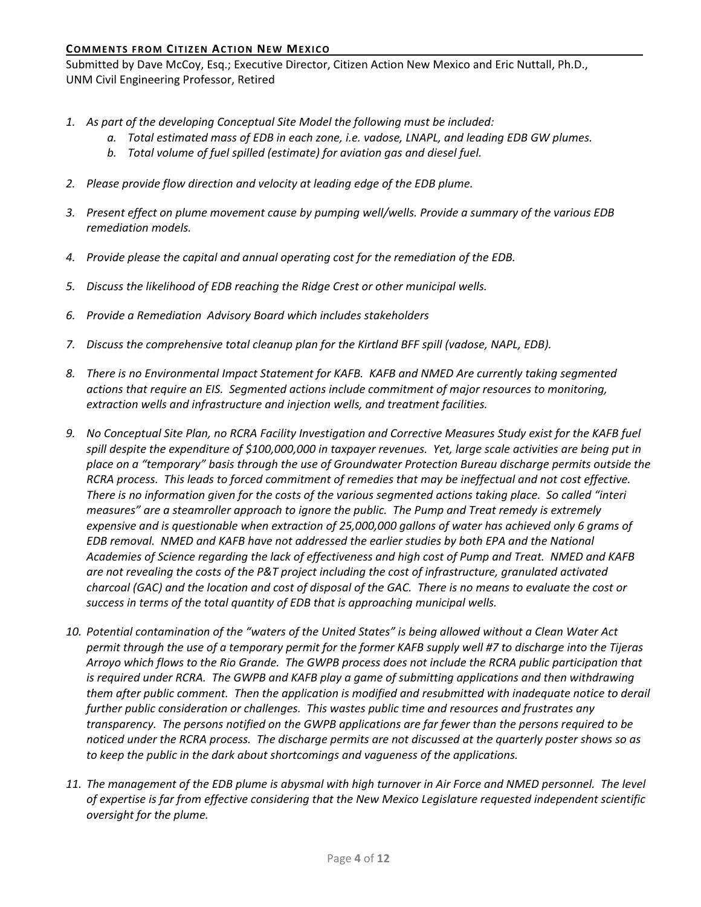# **COMMENTS FROM CITIZEN ACTION NEW MEXICO**

Submitted by Dave McCoy, Esq.; Executive Director, Citizen Action New Mexico and Eric Nuttall, Ph.D., UNM Civil Engineering Professor, Retired

- *1. As part of the developing Conceptual Site Model the following must be included:*
	- *a. Total estimated mass of EDB in each zone, i.e. vadose, LNAPL, and leading EDB GW plumes.*
	- *b. Total volume of fuel spilled (estimate) for aviation gas and diesel fuel.*
- *2. Please provide flow direction and velocity at leading edge of the EDB plume.*
- *3. Present effect on plume movement cause by pumping well/wells. Provide a summary of the various EDB remediation models.*
- *4. Provide please the capital and annual operating cost for the remediation of the EDB.*
- *5. Discuss the likelihood of EDB reaching the Ridge Crest or other municipal wells.*
- *6. Provide a Remediation Advisory Board which includes stakeholders*
- *7. Discuss the comprehensive total cleanup plan for the Kirtland BFF spill (vadose, NAPL, EDB).*
- *8. There is no Environmental Impact Statement for KAFB. KAFB and NMED Are currently taking segmented actions that require an EIS. Segmented actions include commitment of major resources to monitoring, extraction wells and infrastructure and injection wells, and treatment facilities.*
- 9. No Conceptual Site Plan, no RCRA Facility Investigation and Corrective Measures Study exist for the KAFB fuel spill despite the expenditure of \$100,000,000 in taxpayer revenues. Yet, large scale activities are being put in *place on a "temporary" basis through the use of Groundwater Protection Bureau discharge permits outside the* RCRA process. This leads to forced commitment of remedies that may be ineffectual and not cost effective. There is no information given for the costs of the various segmented actions taking place. So called "interi *measures" are a steamroller approach to ignore the public. The Pump and Treat remedy is extremely expensive and is questionable when extraction of 25,000,000 gallons of water has achieved only 6 grams of EDB removal. NMED and KAFB have not addressed the earlier studies by both EPA and the National* Academies of Science regarding the lack of effectiveness and high cost of Pump and Treat. NMED and KAFB *are not revealing the costs of the P&T project including the cost of infrastructure, granulated activated* charcoal (GAC) and the location and cost of disposal of the GAC. There is no means to evaluate the cost or *success in terms of the total quantity of EDB that is approaching municipal wells.*
- 10. Potential contamination of the "waters of the United States" is being allowed without a Clean Water Act permit through the use of a temporary permit for the former KAFB supply well #7 to discharge into the Tijeras Arroyo which flows to the Rio Grande. The GWPB process does not include the RCRA public participation that is required under RCRA. The GWPB and KAFB play a game of submitting applications and then withdrawing them after public comment. Then the application is modified and resubmitted with inadequate notice to derail *further public consideration or challenges. This wastes public time and resources and frustrates any* transparency. The persons notified on the GWPB applications are far fewer than the persons required to be noticed under the RCRA process. The discharge permits are not discussed at the quarterly poster shows so as *to keep the public in the dark about shortcomings and vagueness of the applications.*
- 11. The management of the EDB plume is abysmal with high turnover in Air Force and NMED personnel. The level *of expertise is far from effective considering that the New Mexico Legislature requested independent scientific oversight for the plume.*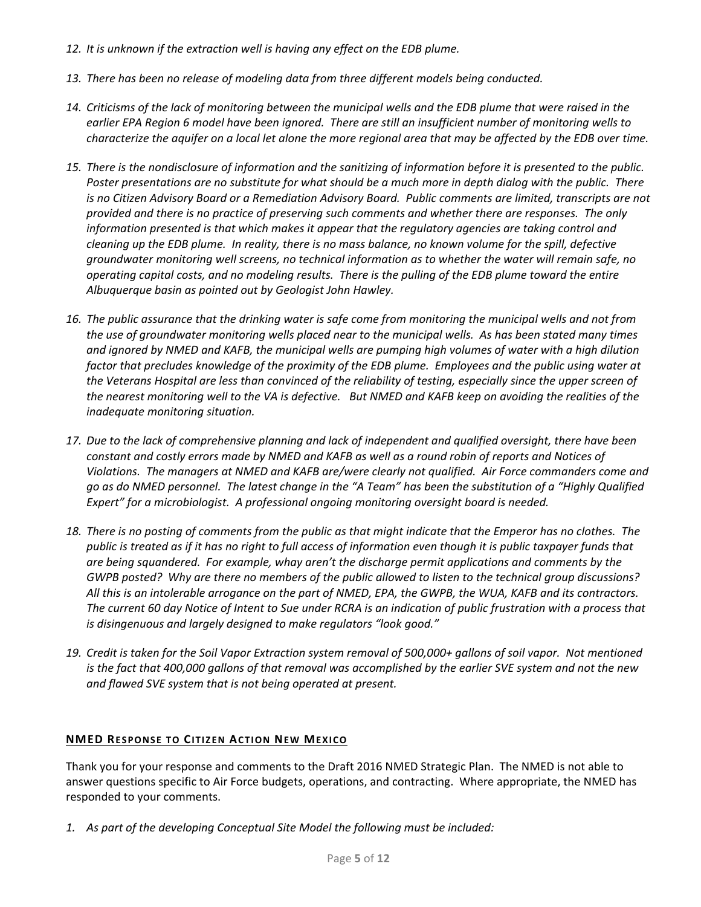- *12. It is unknown if the extraction well is having any effect on the EDB plume.*
- *13. There has been no release of modeling data from three different models being conducted.*
- 14. Criticisms of the lack of monitoring between the municipal wells and the EDB plume that were raised in the earlier EPA Region 6 model have been ignored. There are still an insufficient number of monitoring wells to characterize the aquifer on a local let alone the more regional area that may be affected by the EDB over time.
- 15. There is the nondisclosure of information and the sanitizing of information before it is presented to the public. Poster presentations are no substitute for what should be a much more in depth dialog with the public. There is no Citizen Advisory Board or a Remediation Advisory Board. Public comments are limited, transcripts are not provided and there is no practice of preserving such comments and whether there are responses. The only *information presented is that which makes it appear that the regulatory agencies are taking control and* cleaning up the EDB plume. In reality, there is no mass balance, no known volume for the spill, defective *groundwater monitoring well screens, no technical information as to whether the water will remain safe, no* operating capital costs, and no modeling results. There is the pulling of the EDB plume toward the entire *Albuquerque basin as pointed out by Geologist John Hawley.*
- 16. The public assurance that the drinking water is safe come from monitoring the municipal wells and not from the use of groundwater monitoring wells placed near to the municipal wells. As has been stated many times and ignored by NMED and KAFB, the municipal wells are pumping high volumes of water with a high dilution factor that precludes knowledge of the proximity of the EDB plume. Employees and the public using water at the Veterans Hospital are less than convinced of the reliability of testing, especially since the upper screen of the nearest monitoring well to the VA is defective. But NMED and KAFB keep on avoiding the realities of the *inadequate monitoring situation.*
- 17. Due to the lack of comprehensive planning and lack of independent and qualified oversight, there have been constant and costly errors made by NMED and KAFB as well as a round robin of reports and Notices of Violations. The managers at NMED and KAFB are/were clearly not qualified. Air Force commanders come and go as do NMED personnel. The latest change in the "A Team" has been the substitution of a "Highly Qualified *Expert" for a microbiologist. A professional ongoing monitoring oversight board is needed.*
- 18. There is no posting of comments from the public as that might indicate that the Emperor has no clothes. The public is treated as if it has no right to full access of information even though it is public taxpayer funds that *are being squandered. For example, whay aren't the discharge permit applications and comments by the* GWPB posted? Why are there no members of the public allowed to listen to the technical group discussions? All this is an intolerable arrogance on the part of NMED, EPA, the GWPB, the WUA, KAFB and its contractors. The current 60 day Notice of Intent to Sue under RCRA is an indication of public frustration with a process that *is disingenuous and largely designed to make regulators "look good."*
- 19. Credit is taken for the Soil Vapor Extraction system removal of 500,000+ gallons of soil vapor. Not mentioned is the fact that 400,000 gallons of that removal was accomplished by the earlier SVE system and not the new *and flawed SVE system that is not being operated at present.*

# **NMED RESPONSE TO CITIZEN ACTION NEW MEXICO**

Thank you for your response and comments to the Draft 2016 NMED Strategic Plan. The NMED is not able to answer questions specific to Air Force budgets, operations, and contracting. Where appropriate, the NMED has responded to your comments.

*1. As part of the developing Conceptual Site Model the following must be included:*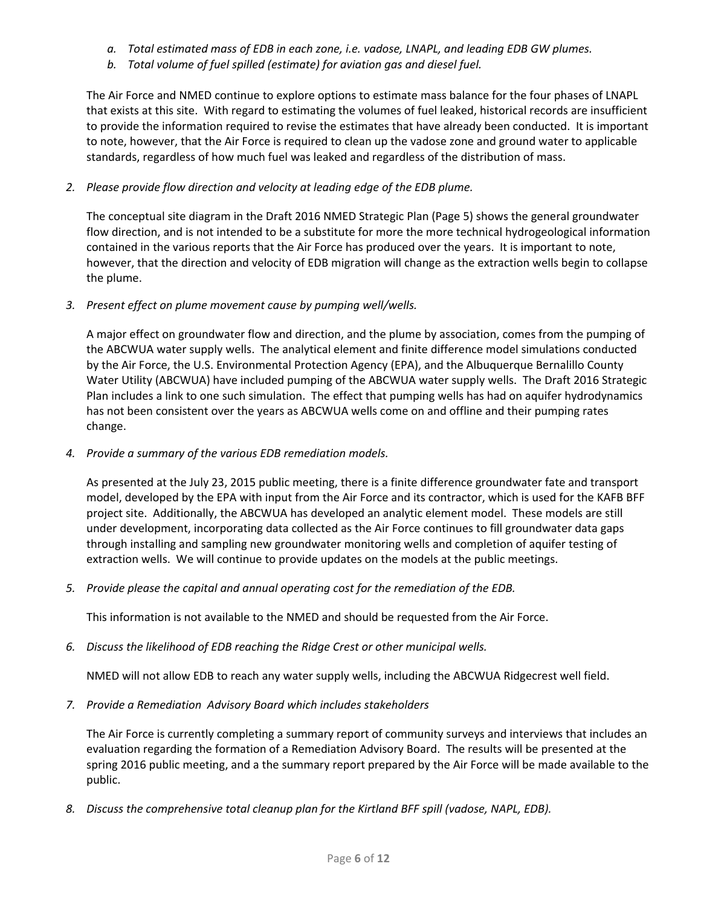- *a. Total estimated mass of EDB in each zone, i.e. vadose, LNAPL, and leading EDB GW plumes.*
- *b. Total volume of fuel spilled (estimate) for aviation gas and diesel fuel.*

The Air Force and NMED continue to explore options to estimate mass balance for the four phases of LNAPL that exists at this site. With regard to estimating the volumes of fuel leaked, historical records are insufficient to provide the information required to revise the estimates that have already been conducted. It is important to note, however, that the Air Force is required to clean up the vadose zone and ground water to applicable standards, regardless of how much fuel was leaked and regardless of the distribution of mass.

*2. Please provide flow direction and velocity at leading edge of the EDB plume.*

The conceptual site diagram in the Draft 2016 NMED Strategic Plan (Page 5) shows the general groundwater flow direction, and is not intended to be a substitute for more the more technical hydrogeological information contained in the various reports that the Air Force has produced over the years. It is important to note, however, that the direction and velocity of EDB migration will change as the extraction wells begin to collapse the plume.

*3. Present effect on plume movement cause by pumping well/wells.*

A major effect on groundwater flow and direction, and the plume by association, comes from the pumping of the ABCWUA water supply wells. The analytical element and finite difference model simulations conducted by the Air Force, the U.S. Environmental Protection Agency (EPA), and the Albuquerque Bernalillo County Water Utility (ABCWUA) have included pumping of the ABCWUA water supply wells. The Draft 2016 Strategic Plan includes a link to one such simulation. The effect that pumping wells has had on aquifer hydrodynamics has not been consistent over the years as ABCWUA wells come on and offline and their pumping rates change.

*4. Provide a summary of the various EDB remediation models.*

As presented at the July 23, 2015 public meeting, there is a finite difference groundwater fate and transport model, developed by the EPA with input from the Air Force and its contractor, which is used for the KAFB BFF project site. Additionally, the ABCWUA has developed an analytic element model. These models are still under development, incorporating data collected as the Air Force continues to fill groundwater data gaps through installing and sampling new groundwater monitoring wells and completion of aquifer testing of extraction wells. We will continue to provide updates on the models at the public meetings.

*5. Provide please the capital and annual operating cost for the remediation of the EDB.*

This information is not available to the NMED and should be requested from the Air Force.

*6. Discuss the likelihood of EDB reaching the Ridge Crest or other municipal wells.*

NMED will not allow EDB to reach any water supply wells, including the ABCWUA Ridgecrest well field.

*7. Provide a Remediation Advisory Board which includes stakeholders*

The Air Force is currently completing a summary report of community surveys and interviews that includes an evaluation regarding the formation of a Remediation Advisory Board. The results will be presented at the spring 2016 public meeting, and a the summary report prepared by the Air Force will be made available to the public.

*8. Discuss the comprehensive total cleanup plan for the Kirtland BFF spill (vadose, NAPL, EDB).*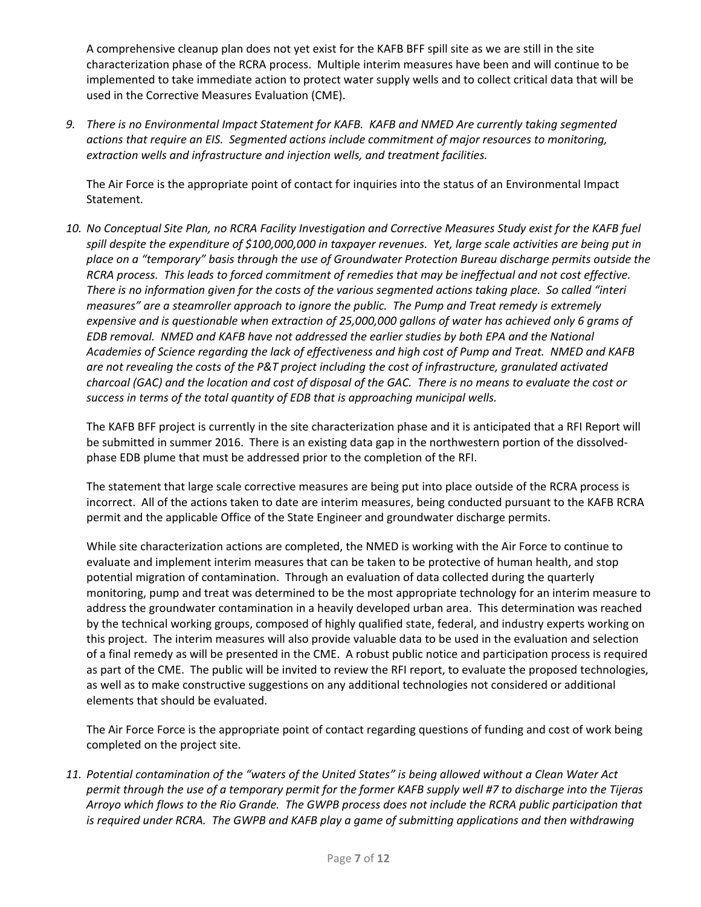A comprehensive cleanup plan does not yet exist for the KAFB BFF spill site as we are still in the site characterization phase of the RCRA process. Multiple interim measures have been and will continue to be implemented to take immediate action to protect water supply wells and to collect critical data that will be used in the Corrective Measures Evaluation (CME).

*9. There is no Environmental Impact Statement for KAFB. KAFB and NMED Are currently taking segmented actions that require an EIS. Segmented actions include commitment of major resources to monitoring, extraction wells and infrastructure and injection wells, and treatment facilities.* 

The Air Force is the appropriate point of contact for inquiries into the status of an Environmental Impact Statement.

10. No Conceptual Site Plan, no RCRA Facility Investigation and Corrective Measures Study exist for the KAFB fuel spill despite the expenditure of \$100,000,000 in taxpayer revenues. Yet, large scale activities are being put in *place on a "temporary" basis through the use of Groundwater Protection Bureau discharge permits outside the* RCRA process. This leads to forced commitment of remedies that may be ineffectual and not cost effective. There is no information given for the costs of the various segmented actions taking place. So called "interi *measures" are a steamroller approach to ignore the public. The Pump and Treat remedy is extremely expensive and is questionable when extraction of 25,000,000 gallons of water has achieved only 6 grams of EDB removal. NMED and KAFB have not addressed the earlier studies by both EPA and the National* Academies of Science regarding the lack of effectiveness and high cost of Pump and Treat. NMED and KAFB *are not revealing the costs of the P&T project including the cost of infrastructure, granulated activated* charcoal (GAC) and the location and cost of disposal of the GAC. There is no means to evaluate the cost or *success in terms of the total quantity of EDB that is approaching municipal wells.* 

The KAFB BFF project is currently in the site characterization phase and it is anticipated that a RFI Report will be submitted in summer 2016. There is an existing data gap in the northwestern portion of the dissolvedphase EDB plume that must be addressed prior to the completion of the RFI.

The statement that large scale corrective measures are being put into place outside of the RCRA process is incorrect. All of the actions taken to date are interim measures, being conducted pursuant to the KAFB RCRA permit and the applicable Office of the State Engineer and groundwater discharge permits.

While site characterization actions are completed, the NMED is working with the Air Force to continue to evaluate and implement interim measures that can be taken to be protective of human health, and stop potential migration of contamination. Through an evaluation of data collected during the quarterly monitoring, pump and treat was determined to be the most appropriate technology for an interim measure to address the groundwater contamination in a heavily developed urban area. This determination was reached by the technical working groups, composed of highly qualified state, federal, and industry experts working on this project. The interim measures will also provide valuable data to be used in the evaluation and selection of a final remedy as will be presented in the CME. A robust public notice and participation process is required as part of the CME. The public will be invited to review the RFI report, to evaluate the proposed technologies, as well as to make constructive suggestions on any additional technologies not considered or additional elements that should be evaluated.

The Air Force Force is the appropriate point of contact regarding questions of funding and cost of work being completed on the project site.

11. Potential contamination of the "waters of the United States" is being allowed without a Clean Water Act permit through the use of a temporary permit for the former KAFB supply well #7 to discharge into the Tijeras Arroyo which flows to the Rio Grande. The GWPB process does not include the RCRA public participation that is required under RCRA. The GWPB and KAFB play a game of submitting applications and then withdrawing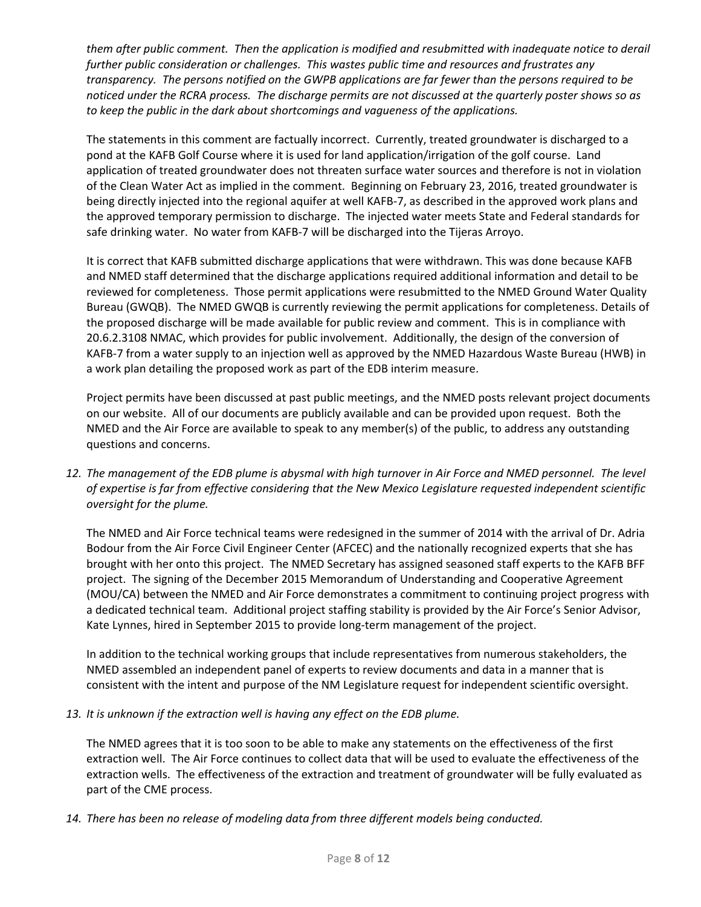them after public comment. Then the application is modified and resubmitted with inadequate notice to derail *further public consideration or challenges. This wastes public time and resources and frustrates any* transparency. The persons notified on the GWPB applications are far fewer than the persons required to be noticed under the RCRA process. The discharge permits are not discussed at the quarterly poster shows so as *to keep the public in the dark about shortcomings and vagueness of the applications.* 

The statements in this comment are factually incorrect. Currently, treated groundwater is discharged to a pond at the KAFB Golf Course where it is used for land application/irrigation of the golf course. Land application of treated groundwater does not threaten surface water sources and therefore is not in violation of the Clean Water Act as implied in the comment. Beginning on February 23, 2016, treated groundwater is being directly injected into the regional aquifer at well KAFB‐7, as described in the approved work plans and the approved temporary permission to discharge. The injected water meets State and Federal standards for safe drinking water. No water from KAFB-7 will be discharged into the Tijeras Arroyo.

It is correct that KAFB submitted discharge applications that were withdrawn. This was done because KAFB and NMED staff determined that the discharge applications required additional information and detail to be reviewed for completeness. Those permit applications were resubmitted to the NMED Ground Water Quality Bureau (GWQB). The NMED GWQB is currently reviewing the permit applications for completeness. Details of the proposed discharge will be made available for public review and comment. This is in compliance with 20.6.2.3108 NMAC, which provides for public involvement. Additionally, the design of the conversion of KAFB‐7 from a water supply to an injection well as approved by the NMED Hazardous Waste Bureau (HWB) in a work plan detailing the proposed work as part of the EDB interim measure.

Project permits have been discussed at past public meetings, and the NMED posts relevant project documents on our website. All of our documents are publicly available and can be provided upon request. Both the NMED and the Air Force are available to speak to any member(s) of the public, to address any outstanding questions and concerns.

12. The management of the EDB plume is abysmal with high turnover in Air Force and NMED personnel. The level *of expertise is far from effective considering that the New Mexico Legislature requested independent scientific oversight for the plume.* 

The NMED and Air Force technical teams were redesigned in the summer of 2014 with the arrival of Dr. Adria Bodour from the Air Force Civil Engineer Center (AFCEC) and the nationally recognized experts that she has brought with her onto this project. The NMED Secretary has assigned seasoned staff experts to the KAFB BFF project. The signing of the December 2015 Memorandum of Understanding and Cooperative Agreement (MOU/CA) between the NMED and Air Force demonstrates a commitment to continuing project progress with a dedicated technical team. Additional project staffing stability is provided by the Air Force's Senior Advisor, Kate Lynnes, hired in September 2015 to provide long-term management of the project.

In addition to the technical working groups that include representatives from numerous stakeholders, the NMED assembled an independent panel of experts to review documents and data in a manner that is consistent with the intent and purpose of the NM Legislature request for independent scientific oversight.

*13. It is unknown if the extraction well is having any effect on the EDB plume.* 

The NMED agrees that it is too soon to be able to make any statements on the effectiveness of the first extraction well. The Air Force continues to collect data that will be used to evaluate the effectiveness of the extraction wells. The effectiveness of the extraction and treatment of groundwater will be fully evaluated as part of the CME process.

*14. There has been no release of modeling data from three different models being conducted.*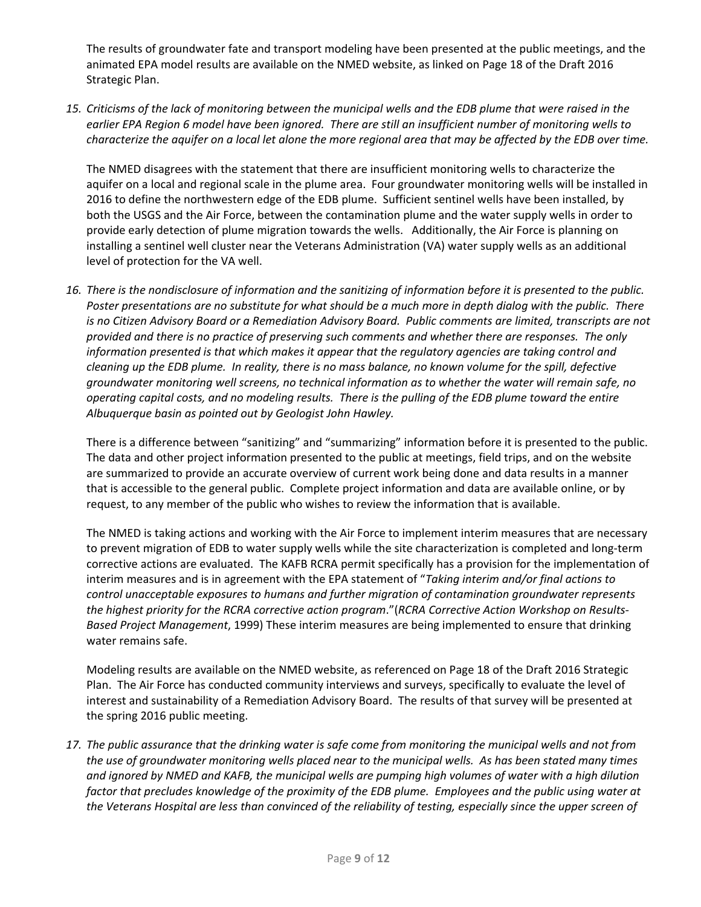The results of groundwater fate and transport modeling have been presented at the public meetings, and the animated EPA model results are available on the NMED website, as linked on Page 18 of the Draft 2016 Strategic Plan.

15. Criticisms of the lack of monitoring between the municipal wells and the EDB plume that were raised in the earlier EPA Region 6 model have been ignored. There are still an insufficient number of monitoring wells to characterize the aquifer on a local let alone the more regional area that may be affected by the EDB over time.

The NMED disagrees with the statement that there are insufficient monitoring wells to characterize the aquifer on a local and regional scale in the plume area. Four groundwater monitoring wells will be installed in 2016 to define the northwestern edge of the EDB plume. Sufficient sentinel wells have been installed, by both the USGS and the Air Force, between the contamination plume and the water supply wells in order to provide early detection of plume migration towards the wells. Additionally, the Air Force is planning on installing a sentinel well cluster near the Veterans Administration (VA) water supply wells as an additional level of protection for the VA well.

16. There is the nondisclosure of information and the sanitizing of information before it is presented to the public. Poster presentations are no substitute for what should be a much more in depth dialog with the public. There is no Citizen Advisory Board or a Remediation Advisory Board. Public comments are limited, transcripts are not provided and there is no practice of preserving such comments and whether there are responses. The only *information presented is that which makes it appear that the regulatory agencies are taking control and* cleaning up the EDB plume. In reality, there is no mass balance, no known volume for the spill, defective *groundwater monitoring well screens, no technical information as to whether the water will remain safe, no* operating capital costs, and no modeling results. There is the pulling of the EDB plume toward the entire *Albuquerque basin as pointed out by Geologist John Hawley.* 

There is a difference between "sanitizing" and "summarizing" information before it is presented to the public. The data and other project information presented to the public at meetings, field trips, and on the website are summarized to provide an accurate overview of current work being done and data results in a manner that is accessible to the general public. Complete project information and data are available online, or by request, to any member of the public who wishes to review the information that is available.

The NMED is taking actions and working with the Air Force to implement interim measures that are necessary to prevent migration of EDB to water supply wells while the site characterization is completed and long-term corrective actions are evaluated. The KAFB RCRA permit specifically has a provision for the implementation of interim measures and is in agreement with the EPA statement of "*Taking interim and/or final actions to control unacceptable exposures to humans and further migration of contamination groundwater represents the highest priority for the RCRA corrective action program*."(*RCRA Corrective Action Workshop on Results‐ Based Project Management*, 1999) These interim measures are being implemented to ensure that drinking water remains safe.

Modeling results are available on the NMED website, as referenced on Page 18 of the Draft 2016 Strategic Plan. The Air Force has conducted community interviews and surveys, specifically to evaluate the level of interest and sustainability of a Remediation Advisory Board. The results of that survey will be presented at the spring 2016 public meeting.

17. The public assurance that the drinking water is safe come from monitoring the municipal wells and not from the use of groundwater monitoring wells placed near to the municipal wells. As has been stated many times and ignored by NMED and KAFB, the municipal wells are pumping high volumes of water with a high dilution factor that precludes knowledge of the proximity of the EDB plume. Employees and the public using water at the Veterans Hospital are less than convinced of the reliability of testing, especially since the upper screen of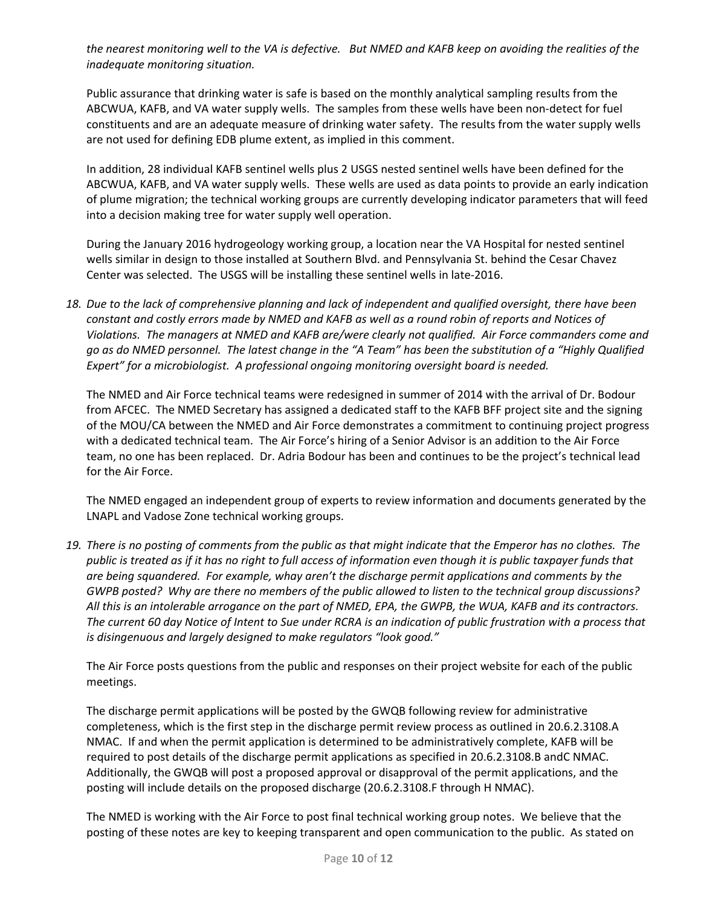the nearest monitoring well to the VA is defective. But NMED and KAFB keep on avoiding the realities of the *inadequate monitoring situation.* 

Public assurance that drinking water is safe is based on the monthly analytical sampling results from the ABCWUA, KAFB, and VA water supply wells. The samples from these wells have been non‐detect for fuel constituents and are an adequate measure of drinking water safety. The results from the water supply wells are not used for defining EDB plume extent, as implied in this comment.

In addition, 28 individual KAFB sentinel wells plus 2 USGS nested sentinel wells have been defined for the ABCWUA, KAFB, and VA water supply wells. These wells are used as data points to provide an early indication of plume migration; the technical working groups are currently developing indicator parameters that will feed into a decision making tree for water supply well operation.

During the January 2016 hydrogeology working group, a location near the VA Hospital for nested sentinel wells similar in design to those installed at Southern Blvd. and Pennsylvania St. behind the Cesar Chavez Center was selected. The USGS will be installing these sentinel wells in late‐2016.

18. Due to the lack of comprehensive planning and lack of independent and qualified oversight, there have been constant and costly errors made by NMED and KAFB as well as a round robin of reports and Notices of Violations. The managers at NMED and KAFB are/were clearly not qualified. Air Force commanders come and go as do NMED personnel. The latest change in the "A Team" has been the substitution of a "Highly Qualified *Expert" for a microbiologist. A professional ongoing monitoring oversight board is needed.* 

The NMED and Air Force technical teams were redesigned in summer of 2014 with the arrival of Dr. Bodour from AFCEC. The NMED Secretary has assigned a dedicated staff to the KAFB BFF project site and the signing of the MOU/CA between the NMED and Air Force demonstrates a commitment to continuing project progress with a dedicated technical team. The Air Force's hiring of a Senior Advisor is an addition to the Air Force team, no one has been replaced. Dr. Adria Bodour has been and continues to be the project's technical lead for the Air Force.

The NMED engaged an independent group of experts to review information and documents generated by the LNAPL and Vadose Zone technical working groups.

19. There is no posting of comments from the public as that might indicate that the Emperor has no clothes. The public is treated as if it has no right to full access of information even though it is public taxpayer funds that *are being squandered. For example, whay aren't the discharge permit applications and comments by the* GWPB posted? Why are there no members of the public allowed to listen to the technical group discussions? All this is an intolerable arrogance on the part of NMED, EPA, the GWPB, the WUA, KAFB and its contractors. The current 60 day Notice of Intent to Sue under RCRA is an indication of public frustration with a process that *is disingenuous and largely designed to make regulators "look good."* 

The Air Force posts questions from the public and responses on their project website for each of the public meetings.

The discharge permit applications will be posted by the GWQB following review for administrative completeness, which is the first step in the discharge permit review process as outlined in 20.6.2.3108.A NMAC. If and when the permit application is determined to be administratively complete, KAFB will be required to post details of the discharge permit applications as specified in 20.6.2.3108.B andC NMAC. Additionally, the GWQB will post a proposed approval or disapproval of the permit applications, and the posting will include details on the proposed discharge (20.6.2.3108.F through H NMAC).

The NMED is working with the Air Force to post final technical working group notes. We believe that the posting of these notes are key to keeping transparent and open communication to the public. As stated on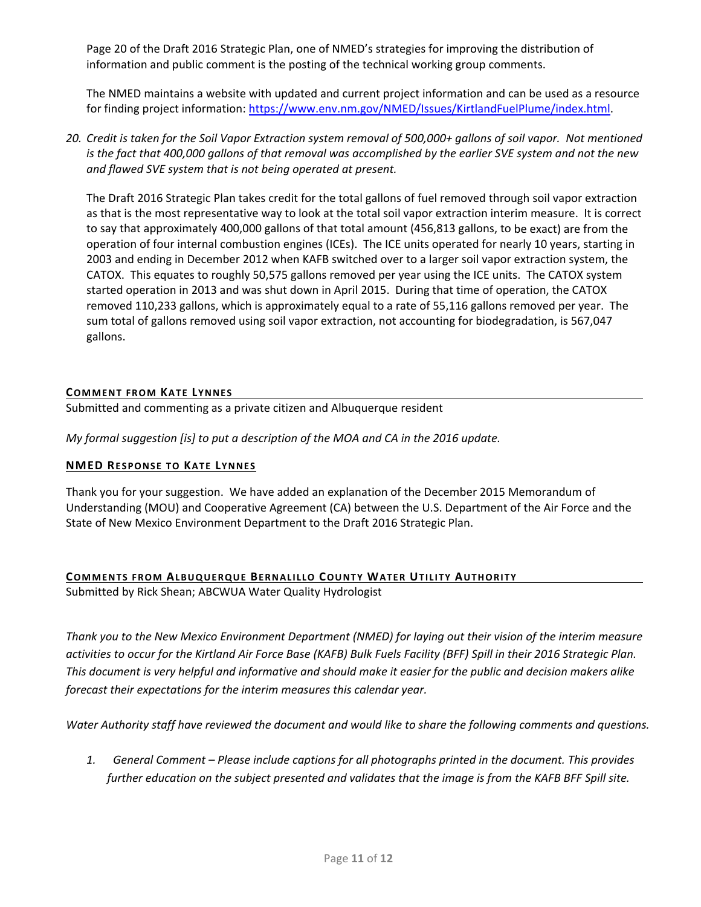Page 20 of the Draft 2016 Strategic Plan, one of NMED's strategies for improving the distribution of information and public comment is the posting of the technical working group comments.

The NMED maintains a website with updated and current project information and can be used as a resource for finding project information: https://www.env.nm.gov/NMED/Issues/KirtlandFuelPlume/index.html.

20. Credit is taken for the Soil Vapor Extraction system removal of 500,000+ gallons of soil vapor. Not mentioned is the fact that 400,000 gallons of that removal was accomplished by the earlier SVE system and not the new *and flawed SVE system that is not being operated at present.*

The Draft 2016 Strategic Plan takes credit for the total gallons of fuel removed through soil vapor extraction as that is the most representative way to look at the total soil vapor extraction interim measure. It is correct to say that approximately 400,000 gallons of that total amount (456,813 gallons, to be exact) are from the operation of four internal combustion engines (ICEs). The ICE units operated for nearly 10 years, starting in 2003 and ending in December 2012 when KAFB switched over to a larger soil vapor extraction system, the CATOX. This equates to roughly 50,575 gallons removed per year using the ICE units. The CATOX system started operation in 2013 and was shut down in April 2015. During that time of operation, the CATOX removed 110,233 gallons, which is approximately equal to a rate of 55,116 gallons removed per year. The sum total of gallons removed using soil vapor extraction, not accounting for biodegradation, is 567,047 gallons.

# **COMMENT FROM KATE LYNNES**

Submitted and commenting as a private citizen and Albuquerque resident

*My formal suggestion [is] to put a description of the MOA and CA in the 2016 update.* 

# **NMED RESPONSE TO KATE LYNNES**

Thank you for your suggestion. We have added an explanation of the December 2015 Memorandum of Understanding (MOU) and Cooperative Agreement (CA) between the U.S. Department of the Air Force and the State of New Mexico Environment Department to the Draft 2016 Strategic Plan.

# **COMMENTS FROM ALBUQUERQUE BERNALILLO COUNTY WATER UTILITY AUTHORITY**

Submitted by Rick Shean; ABCWUA Water Quality Hydrologist

Thank you to the New Mexico Environment Department (NMED) for laying out their vision of the interim measure activities to occur for the Kirtland Air Force Base (KAFB) Bulk Fuels Facility (BFF) Spill in their 2016 Strategic Plan. This document is very helpful and informative and should make it easier for the public and decision makers alike *forecast their expectations for the interim measures this calendar year.* 

Water Authority staff have reviewed the document and would like to share the following comments and questions.

1. General Comment – Please include captions for all photographs printed in the document. This provides further education on the subject presented and validates that the image is from the KAFB BFF Spill site.